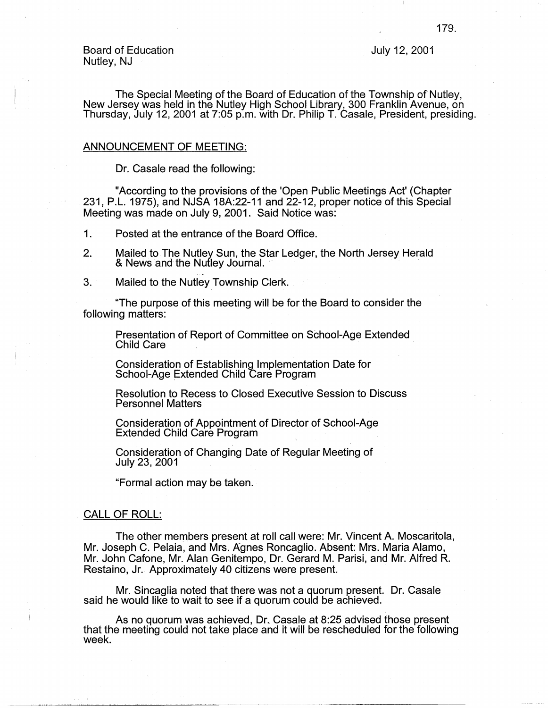Board of Education Nutley, NJ

July 12, 2001

The Special Meeting of the Board of Education of the Township of Nutley, New Jersey was held in the Nutley High School Library, 300 Franklin Avenue, on Thursday, July 12, 2001 at 7:05 p.m. with Dr. Philip T. Casale, President, presiding.

## ANNOUNCEMENT OF MEETING:

Dr. Casale read the following:

"According to the provisions of the 'Open Public Meetings Act' (Chapter 231, P.L. 1975), and NJSA 18A:22-11 and 22-12, proper notice of this Special Meeting was made on July 9, 2001. Said Notice was:

1. Posted at the entrance of the Board Office.

- 2. Mailed to The Nutley Sun, the Star Ledger, the North Jersey Herald & News and the Nutley Journal.
- 3. Mailed to the Nutley Township Clerk.

"The purpose of this meeting will be for the Board to consider the following matters:

Presentation of Report of Committee on School-Age Extended Child Care .

Consideration of Establishing Implementation Date for School-Age Extended Child Care Program

Resolution to Recess to Closed Executive Session to Discuss Personnel Matters

Consideration of Appointment of Director of School-Age Extended Child Care Program

Consideration of Changing Date of Regular Meeting of July 23, 2001

"Formal action may be taken.

## CALL OF ROLL:

The other members present at roll call were: Mr. Vincent A. Moscaritola, Mr. Joseph C. Pelaia, and Mrs. Agnes Roncaglio. Absent: Mrs. Maria Alamo, Mr. John Cafone, Mr. Alan Genitempo, Dr. Gerard M. Parisi, and Mr. Alfred R. Restaino, Jr. Approximately 40 citizens were present.

Mr. Sincaglia noted that there was not a quorum present. Dr. Casale said he would like to wait to see if a quorum could be achieved.

As no quorum was achieved, Dr. Casale at 8:25 advised those present that the meeting could not take place and it will be rescheduled for the following week.